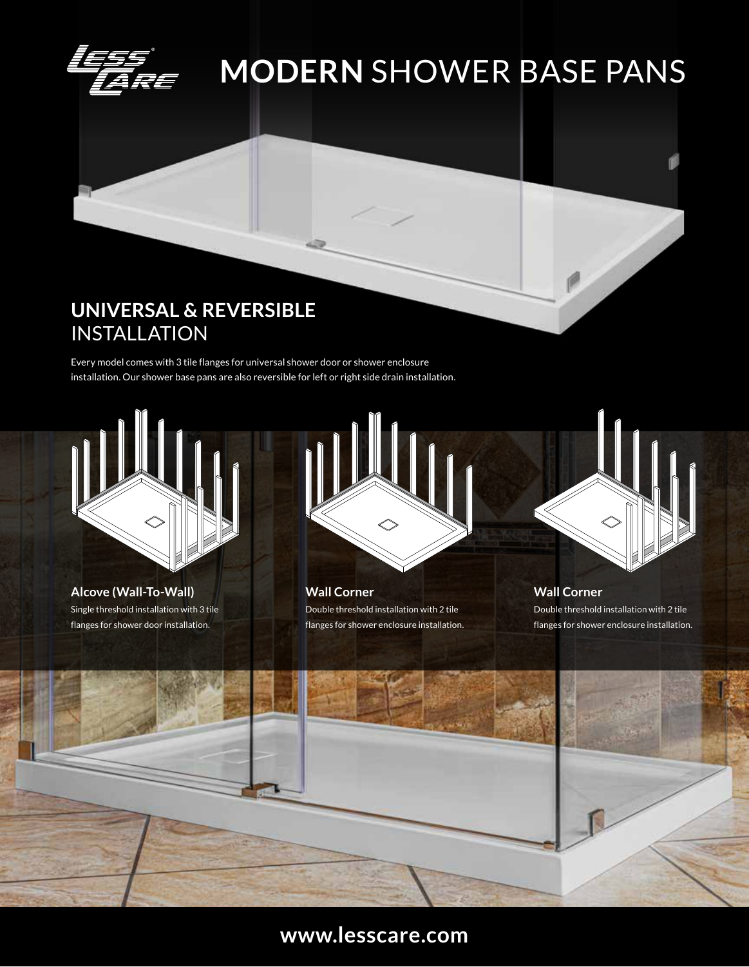

## **MODERN** SHOWER BASE PANS

### **UNIVERSAL & REVERSIBLE** INSTALLATION

Every model comes with 3 tile flanges for universal shower door or shower enclosure installation. Our shower base pans are also reversible for left or right side drain installation.



Single threshold installation with 3 tile flanges for shower door installation. **Alcove (Wall-To-Wall)**



Double threshold installation with 2 tile flanges for shower enclosure installation. **Wall Corner**



P

Double threshold installation with 2 tile flanges for shower enclosure installation. **Wall Corner**



#### **www.lesscare.com**